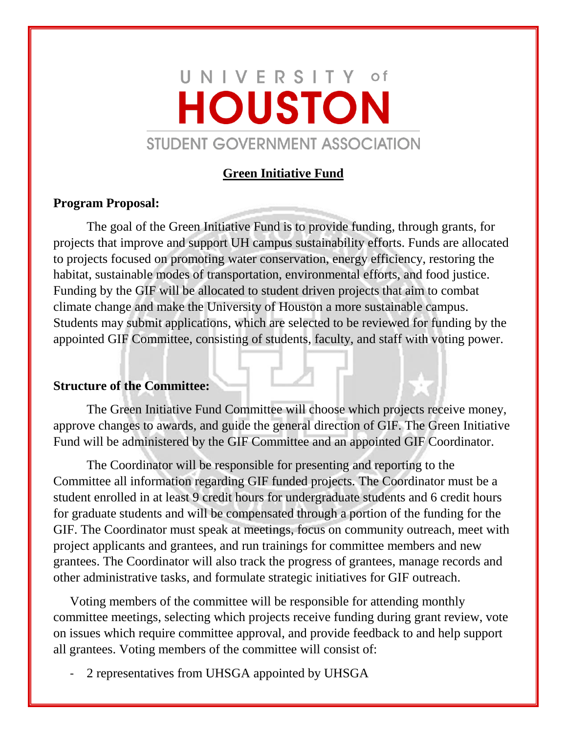# UNIVERSITY of **HOUSTON** STUDENT GOVERNMENT ASSOCIATION

#### **Green Initiative Fund**

#### **Program Proposal:**

The goal of the Green Initiative Fund is to provide funding, through grants, for projects that improve and support UH campus sustainability efforts. Funds are allocated to projects focused on promoting water conservation, energy efficiency, restoring the habitat, sustainable modes of transportation, environmental efforts, and food justice. Funding by the GIF will be allocated to student driven projects that aim to combat climate change and make the University of Houston a more sustainable campus. Students may submit applications, which are selected to be reviewed for funding by the appointed GIF Committee, consisting of students, faculty, and staff with voting power.

#### **Structure of the Committee:**

The Green Initiative Fund Committee will choose which projects receive money, approve changes to awards, and guide the general direction of GIF. The Green Initiative Fund will be administered by the GIF Committee and an appointed GIF Coordinator.

The Coordinator will be responsible for presenting and reporting to the Committee all information regarding GIF funded projects. The Coordinator must be a student enrolled in at least 9 credit hours for undergraduate students and 6 credit hours for graduate students and will be compensated through a portion of the funding for the GIF. The Coordinator must speak at meetings, focus on community outreach, meet with project applicants and grantees, and run trainings for committee members and new grantees. The Coordinator will also track the progress of grantees, manage records and other administrative tasks, and formulate strategic initiatives for GIF outreach.

Voting members of the committee will be responsible for attending monthly committee meetings, selecting which projects receive funding during grant review, vote on issues which require committee approval, and provide feedback to and help support all grantees. Voting members of the committee will consist of:

2 representatives from UHSGA appointed by UHSGA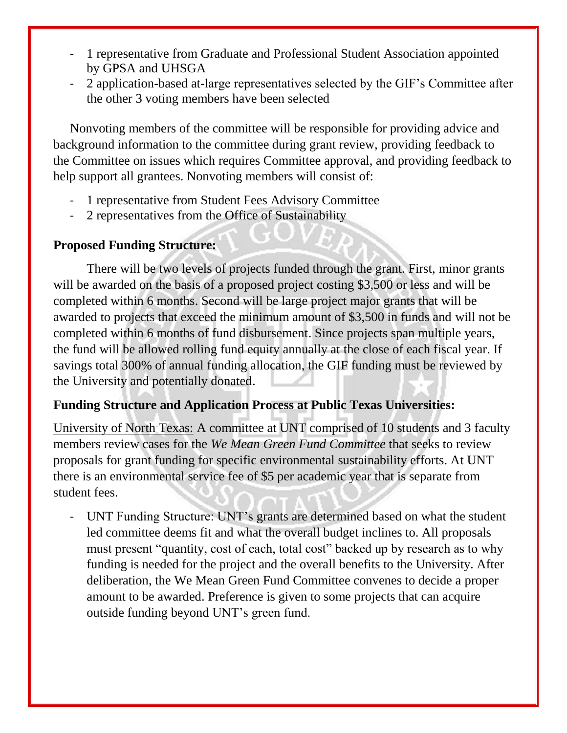- 1 representative from Graduate and Professional Student Association appointed by GPSA and UHSGA
- 2 application-based at-large representatives selected by the GIF's Committee after the other 3 voting members have been selected

Nonvoting members of the committee will be responsible for providing advice and background information to the committee during grant review, providing feedback to the Committee on issues which requires Committee approval, and providing feedback to help support all grantees. Nonvoting members will consist of:

- 1 representative from Student Fees Advisory Committee
- 2 representatives from the Office of Sustainability

### **Proposed Funding Structure:**

There will be two levels of projects funded through the grant. First, minor grants will be awarded on the basis of a proposed project costing \$3,500 or less and will be completed within 6 months. Second will be large project major grants that will be awarded to projects that exceed the minimum amount of \$3,500 in funds and will not be completed within 6 months of fund disbursement. Since projects span multiple years, the fund will be allowed rolling fund equity annually at the close of each fiscal year. If savings total 300% of annual funding allocation, the GIF funding must be reviewed by the University and potentially donated.

### **Funding Structure and Application Process at Public Texas Universities:**

University of North Texas: A committee at UNT comprised of 10 students and 3 faculty members review cases for the *We Mean Green Fund Committee* that seeks to review proposals for grant funding for specific environmental sustainability efforts. At UNT there is an environmental service fee of \$5 per academic year that is separate from student fees.

- UNT Funding Structure: UNT's grants are determined based on what the student led committee deems fit and what the overall budget inclines to. All proposals must present "quantity, cost of each, total cost" backed up by research as to why funding is needed for the project and the overall benefits to the University. After deliberation, the We Mean Green Fund Committee convenes to decide a proper amount to be awarded. Preference is given to some projects that can acquire outside funding beyond UNT's green fund.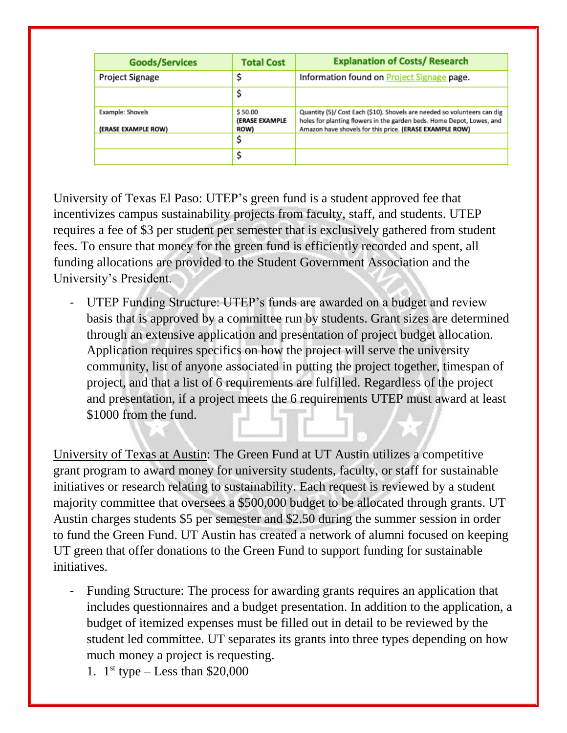| <b>Goods/Services</b>                   | <b>Total Cost</b>                        | <b>Explanation of Costs/ Research</b>                                                                                                                                                                        |
|-----------------------------------------|------------------------------------------|--------------------------------------------------------------------------------------------------------------------------------------------------------------------------------------------------------------|
| Project Signage                         |                                          | Information found on <b>Project Signage</b> page.                                                                                                                                                            |
|                                         |                                          |                                                                                                                                                                                                              |
| Example: Shovels<br>(ERASE EXAMPLE ROW) | \$50.00<br>(ERASE EXAMPLE<br><b>ROW)</b> | Quantity (5)/ Cost Each (\$10). Shovels are needed so volunteers can dig<br>holes for planting flowers in the garden beds. Home Depot, Lowes, and<br>Amazon have shovels for this price. (ERASE EXAMPLE ROW) |
|                                         |                                          |                                                                                                                                                                                                              |
|                                         |                                          |                                                                                                                                                                                                              |

University of Texas El Paso: UTEP's green fund is a student approved fee that incentivizes campus sustainability projects from faculty, staff, and students. UTEP requires a fee of \$3 per student per semester that is exclusively gathered from student fees. To ensure that money for the green fund is efficiently recorded and spent, all funding allocations are provided to the Student Government Association and the University's President.

- UTEP Funding Structure: UTEP's funds are awarded on a budget and review basis that is approved by a committee run by students. Grant sizes are determined through an extensive application and presentation of project budget allocation. Application requires specifics on how the project will serve the university community, list of anyone associated in putting the project together, timespan of project, and that a list of 6 requirements are fulfilled. Regardless of the project and presentation, if a project meets the 6 requirements UTEP must award at least \$1000 from the fund.

University of Texas at Austin: The Green Fund at UT Austin utilizes a competitive grant program to award money for university students, faculty, or staff for sustainable initiatives or research relating to sustainability. Each request is reviewed by a student majority committee that oversees a \$500,000 budget to be allocated through grants. UT Austin charges students \$5 per semester and \$2.50 during the summer session in order to fund the Green Fund. UT Austin has created a network of alumni focused on keeping UT green that offer donations to the Green Fund to support funding for sustainable initiatives.

- Funding Structure: The process for awarding grants requires an application that includes questionnaires and a budget presentation. In addition to the application, a budget of itemized expenses must be filled out in detail to be reviewed by the student led committee. UT separates its grants into three types depending on how much money a project is requesting.
	- 1.  $1^{st}$  type Less than \$20,000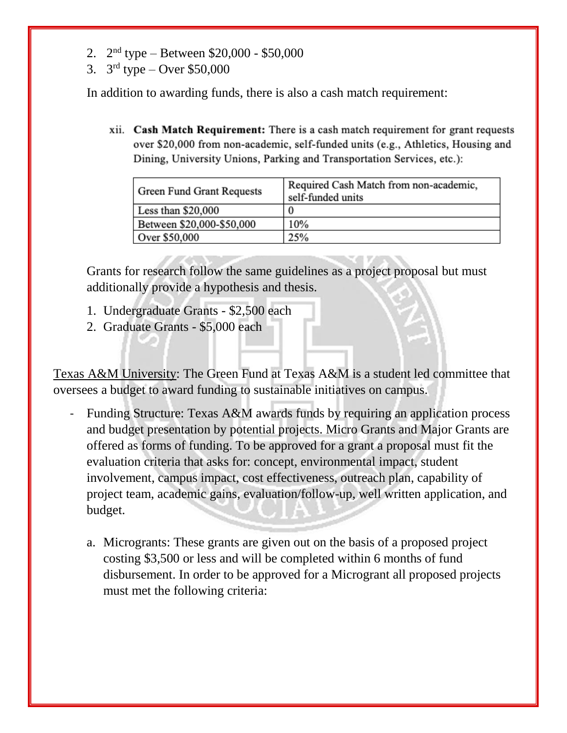- 2.  $2<sup>nd</sup>$  type Between \$20,000 \$50,000
- 3.  $3^{rd}$  type Over \$50,000

In addition to awarding funds, there is also a cash match requirement:

xii. Cash Match Requirement: There is a cash match requirement for grant requests over \$20,000 from non-academic, self-funded units (e.g., Athletics, Housing and Dining, University Unions, Parking and Transportation Services, etc.):

| Green Fund Grant Requests | Required Cash Match from non-academic,<br>self-funded units |
|---------------------------|-------------------------------------------------------------|
| Less than $$20,000$       | 0                                                           |
| Between \$20,000-\$50,000 | 10%                                                         |
| Over \$50,000             | 25%                                                         |

Grants for research follow the same guidelines as a project proposal but must additionally provide a hypothesis and thesis.

- 1. Undergraduate Grants \$2,500 each
- 2. Graduate Grants \$5,000 each

Texas A&M University: The Green Fund at Texas A&M is a student led committee that oversees a budget to award funding to sustainable initiatives on campus.

- Funding Structure: Texas A&M awards funds by requiring an application process and budget presentation by potential projects. Micro Grants and Major Grants are offered as forms of funding. To be approved for a grant a proposal must fit the evaluation criteria that asks for: concept, environmental impact, student involvement, campus impact, cost effectiveness, outreach plan, capability of project team, academic gains, evaluation/follow-up, well written application, and budget.
	- a. Microgrants: These grants are given out on the basis of a proposed project costing \$3,500 or less and will be completed within 6 months of fund disbursement. In order to be approved for a Microgrant all proposed projects must met the following criteria: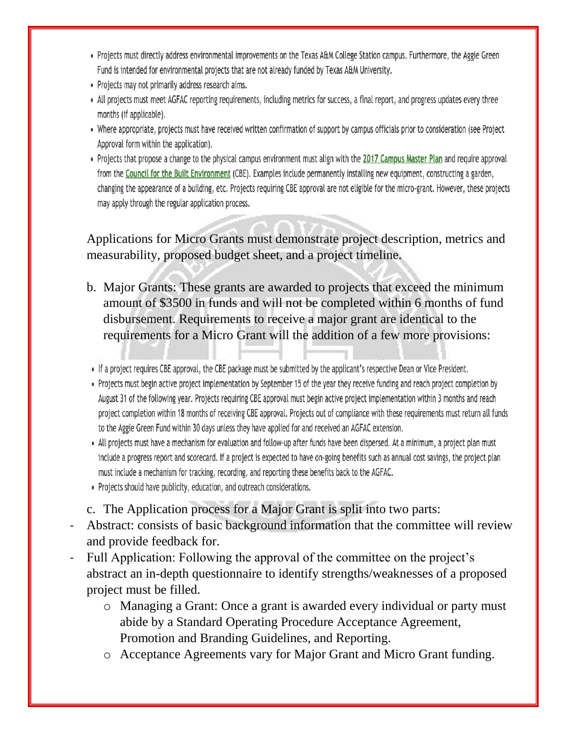- Projects must directly address environmental improvements on the Texas A&M College Station campus. Furthermore, the Aggie Green Fund is intended for environmental projects that are not already funded by Texas A&M University.
- Projects may not primarily address research aims.
- All projects must meet AGFAC reporting requirements, including metrics for success, a final report, and progress updates every three months (if applicable).
- Where appropriate, projects must have received written confirmation of support by campus officials prior to consideration (see Project Approval form within the application).
- Projects that propose a change to the physical campus environment must align with the 2017 Campus Master Plan and require approval from the Council for the Built Environment (CBE). Examples include permanently installing new equipment, constructing a garden, changing the appearance of a building, etc. Projects requiring CBE approval are not eligible for the micro-grant. However, these projects may apply through the regular application process.

Applications for Micro Grants must demonstrate project description, metrics and measurability, proposed budget sheet, and a project timeline.

- b. Major Grants: These grants are awarded to projects that exceed the minimum amount of \$3500 in funds and will not be completed within 6 months of fund disbursement. Requirements to receive a major grant are identical to the requirements for a Micro Grant will the addition of a few more provisions:
- If a project requires CBE approval, the CBE package must be submitted by the applicant's respective Dean or Vice President.
- Projects must begin active project implementation by September 15 of the year they receive funding and reach project completion by August 31 of the following year. Projects requiring CBE approval must begin active project implementation within 3 months and reach project completion within 18 months of receiving CBE approval. Projects out of compliance with these requirements must return all funds to the Aggie Green Fund within 30 days unless they have applied for and received an AGFAC extension.
- All projects must have a mechanism for evaluation and follow-up after funds have been dispersed. At a minimum, a project plan must include a progress report and scorecard. If a project is expected to have on-going benefits such as annual cost savings, the project plan must include a mechanism for tracking, recording, and reporting these benefits back to the AGFAC.
- Projects should have publicity, education, and outreach considerations.
- c. The Application process for a Major Grant is split into two parts:
- Abstract: consists of basic background information that the committee will review and provide feedback for.
- Full Application: Following the approval of the committee on the project's abstract an in-depth questionnaire to identify strengths/weaknesses of a proposed project must be filled.
	- o Managing a Grant: Once a grant is awarded every individual or party must abide by a Standard Operating Procedure Acceptance Agreement, Promotion and Branding Guidelines, and Reporting.
	- o Acceptance Agreements vary for Major Grant and Micro Grant funding.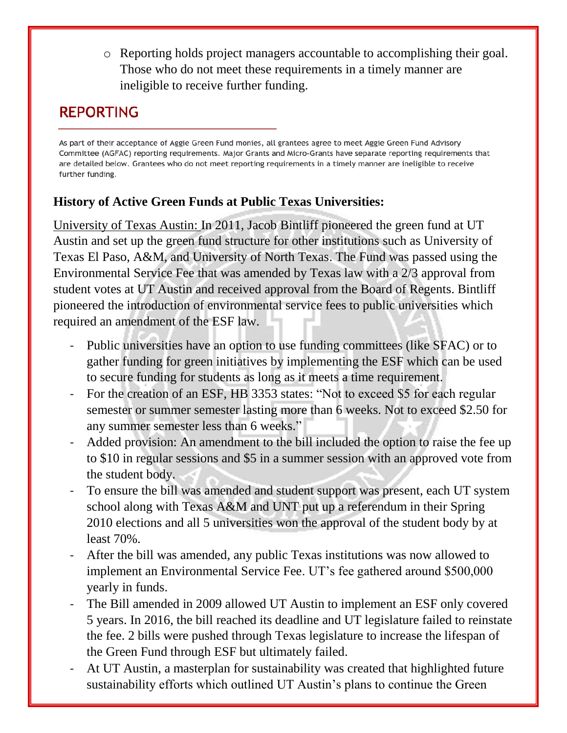o Reporting holds project managers accountable to accomplishing their goal. Those who do not meet these requirements in a timely manner are ineligible to receive further funding.

# **REPORTING**

As part of their acceptance of Aggie Green Fund monies, all grantees agree to meet Aggie Green Fund Advisory Committee (AGFAC) reporting requirements. Major Grants and Micro-Grants have separate reporting requirements that are detailed below. Grantees who do not meet reporting requirements in a timely manner are ineligible to receive further funding.

# **History of Active Green Funds at Public Texas Universities:**

University of Texas Austin: In 2011, Jacob Bintliff pioneered the green fund at UT Austin and set up the green fund structure for other institutions such as University of Texas El Paso, A&M, and University of North Texas. The Fund was passed using the Environmental Service Fee that was amended by Texas law with a 2/3 approval from student votes at UT Austin and received approval from the Board of Regents. Bintliff pioneered the introduction of environmental service fees to public universities which required an amendment of the ESF law.

- Public universities have an option to use funding committees (like SFAC) or to gather funding for green initiatives by implementing the ESF which can be used to secure funding for students as long as it meets a time requirement.
- For the creation of an ESF, HB 3353 states: "Not to exceed \$5 for each regular semester or summer semester lasting more than 6 weeks. Not to exceed \$2.50 for any summer semester less than 6 weeks."
- Added provision: An amendment to the bill included the option to raise the fee up to \$10 in regular sessions and \$5 in a summer session with an approved vote from the student body.
- To ensure the bill was amended and student support was present, each UT system school along with Texas A&M and UNT put up a referendum in their Spring 2010 elections and all 5 universities won the approval of the student body by at least 70%.
- After the bill was amended, any public Texas institutions was now allowed to implement an Environmental Service Fee. UT's fee gathered around \$500,000 yearly in funds.
- The Bill amended in 2009 allowed UT Austin to implement an ESF only covered 5 years. In 2016, the bill reached its deadline and UT legislature failed to reinstate the fee. 2 bills were pushed through Texas legislature to increase the lifespan of the Green Fund through ESF but ultimately failed.
- At UT Austin, a masterplan for sustainability was created that highlighted future sustainability efforts which outlined UT Austin's plans to continue the Green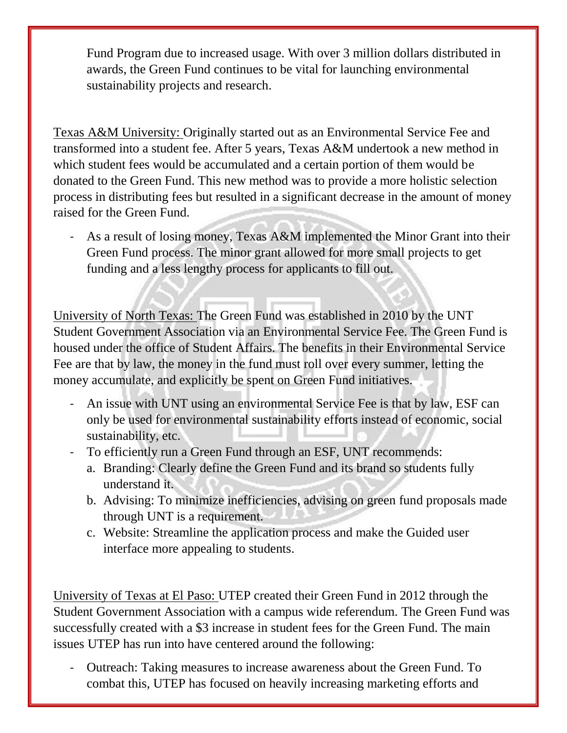Fund Program due to increased usage. With over 3 million dollars distributed in awards, the Green Fund continues to be vital for launching environmental sustainability projects and research.

Texas A&M University: Originally started out as an Environmental Service Fee and transformed into a student fee. After 5 years, Texas A&M undertook a new method in which student fees would be accumulated and a certain portion of them would be donated to the Green Fund. This new method was to provide a more holistic selection process in distributing fees but resulted in a significant decrease in the amount of money raised for the Green Fund.

- As a result of losing money, Texas A&M implemented the Minor Grant into their Green Fund process. The minor grant allowed for more small projects to get funding and a less lengthy process for applicants to fill out.

University of North Texas: The Green Fund was established in 2010 by the UNT Student Government Association via an Environmental Service Fee. The Green Fund is housed under the office of Student Affairs. The benefits in their Environmental Service Fee are that by law, the money in the fund must roll over every summer, letting the money accumulate, and explicitly be spent on Green Fund initiatives.

- An issue with UNT using an environmental Service Fee is that by law, ESF can only be used for environmental sustainability efforts instead of economic, social sustainability, etc.
- To efficiently run a Green Fund through an ESF, UNT recommends:
	- a. Branding: Clearly define the Green Fund and its brand so students fully understand it.
	- b. Advising: To minimize inefficiencies, advising on green fund proposals made through UNT is a requirement.
	- c. Website: Streamline the application process and make the Guided user interface more appealing to students.

University of Texas at El Paso: UTEP created their Green Fund in 2012 through the Student Government Association with a campus wide referendum. The Green Fund was successfully created with a \$3 increase in student fees for the Green Fund. The main issues UTEP has run into have centered around the following:

- Outreach: Taking measures to increase awareness about the Green Fund. To combat this, UTEP has focused on heavily increasing marketing efforts and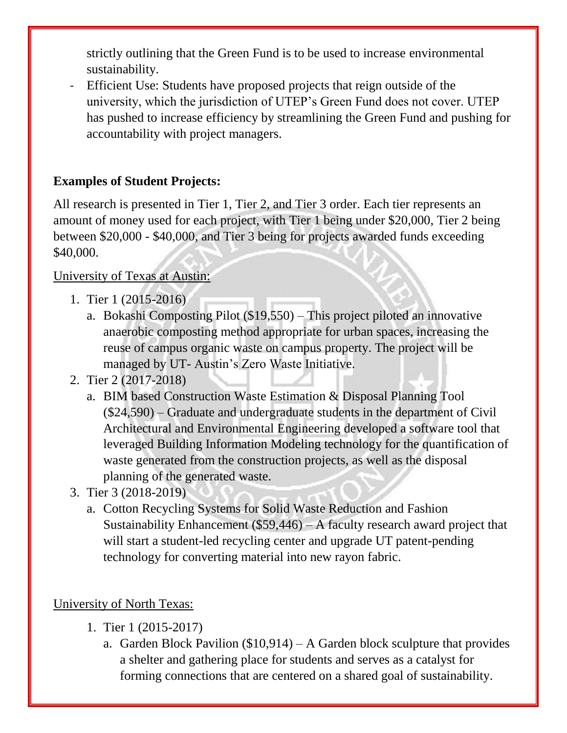strictly outlining that the Green Fund is to be used to increase environmental sustainability.

- Efficient Use: Students have proposed projects that reign outside of the university, which the jurisdiction of UTEP's Green Fund does not cover. UTEP has pushed to increase efficiency by streamlining the Green Fund and pushing for accountability with project managers.

## **Examples of Student Projects:**

All research is presented in Tier 1, Tier 2, and Tier 3 order. Each tier represents an amount of money used for each project, with Tier 1 being under \$20,000, Tier 2 being between \$20,000 - \$40,000, and Tier 3 being for projects awarded funds exceeding \$40,000.

# University of Texas at Austin:

- 1. Tier 1 (2015-2016)
	- a. Bokashi Composting Pilot (\$19,550) This project piloted an innovative anaerobic composting method appropriate for urban spaces, increasing the reuse of campus organic waste on campus property. The project will be managed by UT- Austin's Zero Waste Initiative.
- 2. Tier 2 (2017-2018)
	- a. BIM based Construction Waste Estimation & Disposal Planning Tool (\$24,590) – Graduate and undergraduate students in the department of Civil Architectural and Environmental Engineering developed a software tool that leveraged Building Information Modeling technology for the quantification of waste generated from the construction projects, as well as the disposal planning of the generated waste.
- 3. Tier 3 (2018-2019)
	- a. Cotton Recycling Systems for Solid Waste Reduction and Fashion Sustainability Enhancement (\$59,446) – A faculty research award project that will start a student-led recycling center and upgrade UT patent-pending technology for converting material into new rayon fabric.

# University of North Texas:

- 1. Tier 1 (2015-2017)
	- a. Garden Block Pavilion  $(\$10,914) A$  Garden block sculpture that provides a shelter and gathering place for students and serves as a catalyst for forming connections that are centered on a shared goal of sustainability.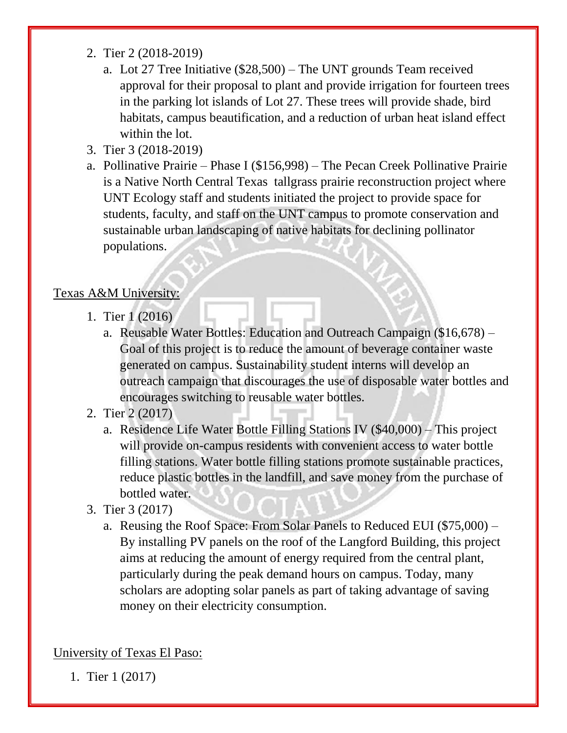- 2. Tier 2 (2018-2019)
	- a. Lot 27 Tree Initiative (\$28,500) The UNT grounds Team received approval for their proposal to plant and provide irrigation for fourteen trees in the parking lot islands of Lot 27. These trees will provide shade, bird habitats, campus beautification, and a reduction of urban heat island effect within the lot.
- 3. Tier 3 (2018-2019)
- a. Pollinative Prairie Phase I (\$156,998) The Pecan Creek Pollinative Prairie is a Native North Central Texas tallgrass prairie reconstruction project where UNT Ecology staff and students initiated the project to provide space for students, faculty, and staff on the UNT campus to promote conservation and sustainable urban landscaping of native habitats for declining pollinator populations.

#### Texas A&M University:

- 1. Tier 1 (2016)
	- a. Reusable Water Bottles: Education and Outreach Campaign (\$16,678) Goal of this project is to reduce the amount of beverage container waste generated on campus. Sustainability student interns will develop an outreach campaign that discourages the use of disposable water bottles and encourages switching to reusable water bottles.
- 2. Tier 2 (2017)
	- a. Residence Life Water Bottle Filling Stations IV (\$40,000) This project will provide on-campus residents with convenient access to water bottle filling stations. Water bottle filling stations promote sustainable practices, reduce plastic bottles in the landfill, and save money from the purchase of bottled water.
- 3. Tier 3 (2017)
	- a. Reusing the Roof Space: From Solar Panels to Reduced EUI (\$75,000) By installing PV panels on the roof of the Langford Building, this project aims at reducing the amount of energy required from the central plant, particularly during the peak demand hours on campus. Today, many scholars are adopting solar panels as part of taking advantage of saving money on their electricity consumption.

University of Texas El Paso:

1. Tier 1 (2017)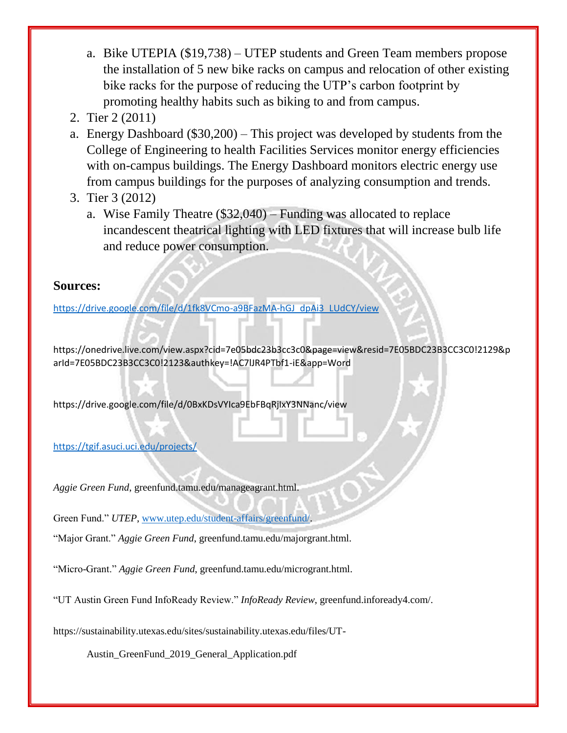- a. Bike UTEPIA (\$19,738) UTEP students and Green Team members propose the installation of 5 new bike racks on campus and relocation of other existing bike racks for the purpose of reducing the UTP's carbon footprint by promoting healthy habits such as biking to and from campus.
- 2. Tier 2 (2011)
- a. Energy Dashboard (\$30,200) This project was developed by students from the College of Engineering to health Facilities Services monitor energy efficiencies with on-campus buildings. The Energy Dashboard monitors electric energy use from campus buildings for the purposes of analyzing consumption and trends.
- 3. Tier 3 (2012)
	- a. Wise Family Theatre (\$32,040) Funding was allocated to replace incandescent theatrical lighting with LED fixtures that will increase bulb life and reduce power consumption.

#### **Sources:**

[https://drive.google.com/file/d/1fk8VCmo-a9BFazMA-hGJ\\_dpAi3\\_LUdCY/view](https://drive.google.com/file/d/1fk8VCmo-a9BFazMA-hGJ_dpAi3_LUdCY/view)

https://onedrive.live.com/view.aspx?cid=7e05bdc23b3cc3c0&page=view&resid=7E05BDC23B3CC3C0!2129&p arId=7E05BDC23B3CC3C0!2123&authkey=!AC7lJR4PTbf1-iE&app=Word

https://drive.google.com/file/d/0BxKDsVYIca9EbFBqRjIxY3NNanc/view

#### <https://tgif.asuci.uci.edu/projects/>

*Aggie Green Fund*, greenfund.tamu.edu/manageagrant.html.

Green Fund." *UTEP*, [www.utep.edu/student-affairs/greenfund/.](http://www.utep.edu/student-affairs/greenfund/)

"Major Grant." *Aggie Green Fund*, greenfund.tamu.edu/majorgrant.html.

"Micro-Grant." *Aggie Green Fund*, greenfund.tamu.edu/microgrant.html.

"UT Austin Green Fund InfoReady Review." *InfoReady Review*, greenfund.infoready4.com/.

https://sustainability.utexas.edu/sites/sustainability.utexas.edu/files/UT-

Austin\_GreenFund\_2019\_General\_Application.pdf